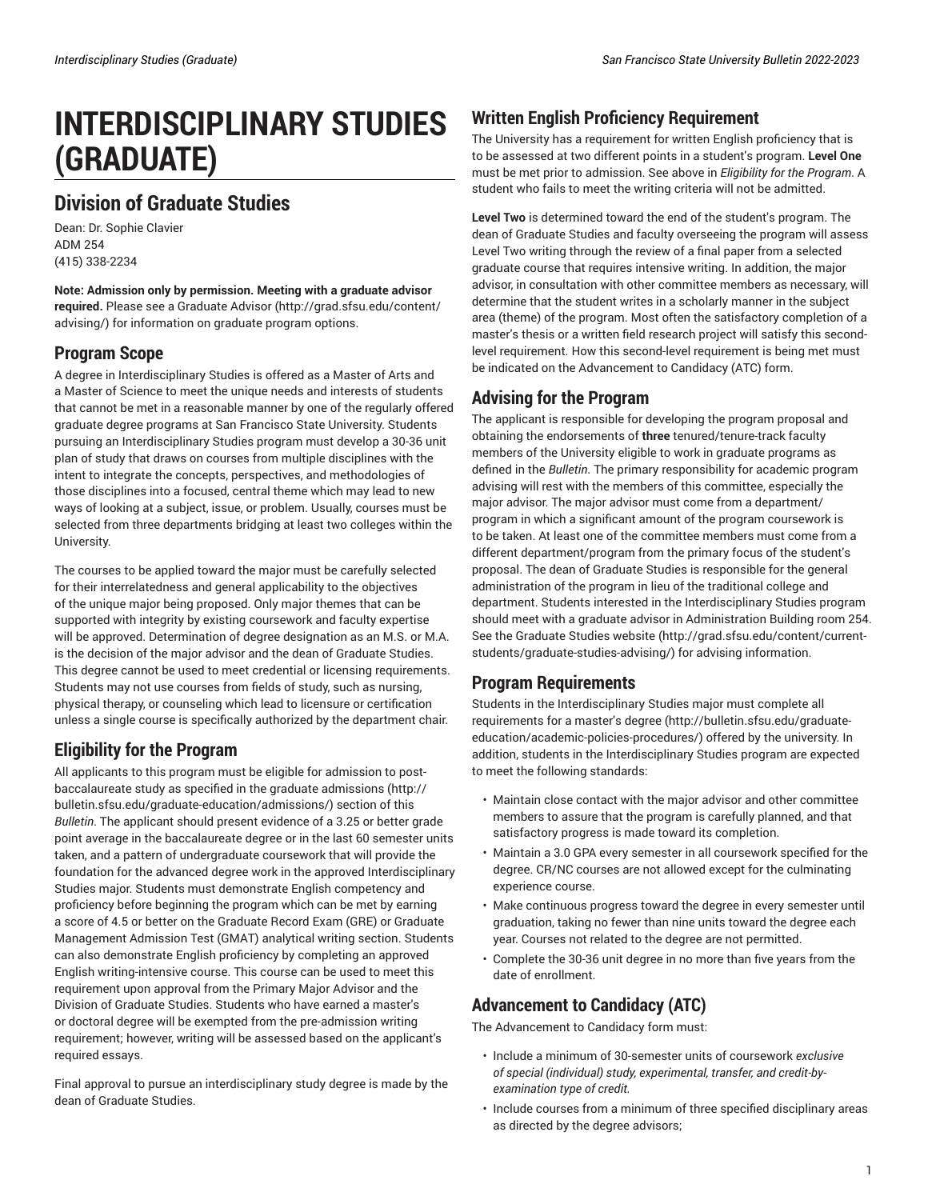# **INTERDISCIPLINARY STUDIES (GRADUATE)**

## **Division of Graduate Studies**

Dean: Dr. Sophie Clavier ADM 254 (415) 338-2234

**Note: Admission only by permission. Meeting with a graduate advisor required.** Please see a [Graduate Advisor](http://grad.sfsu.edu/content/advising/) [\(http://grad.sfsu.edu/content/](http://grad.sfsu.edu/content/advising/) [advising/\)](http://grad.sfsu.edu/content/advising/) for information on graduate program options.

### **Program Scope**

A degree in Interdisciplinary Studies is offered as a Master of Arts and a Master of Science to meet the unique needs and interests of students that cannot be met in a reasonable manner by one of the regularly offered graduate degree programs at San Francisco State University. Students pursuing an Interdisciplinary Studies program must develop a 30-36 unit plan of study that draws on courses from multiple disciplines with the intent to integrate the concepts, perspectives, and methodologies of those disciplines into a focused, central theme which may lead to new ways of looking at a subject, issue, or problem. Usually, courses must be selected from three departments bridging at least two colleges within the University.

The courses to be applied toward the major must be carefully selected for their interrelatedness and general applicability to the objectives of the unique major being proposed. Only major themes that can be supported with integrity by existing coursework and faculty expertise will be approved. Determination of degree designation as an M.S. or M.A. is the decision of the major advisor and the dean of Graduate Studies. This degree cannot be used to meet credential or licensing requirements. Students may not use courses from fields of study, such as nursing, physical therapy, or counseling which lead to licensure or certification unless a single course is specifically authorized by the department chair.

## **Eligibility for the Program**

All applicants to this program must be eligible for admission to postbaccalaureate study as specified in the [graduate admissions \(http://](http://bulletin.sfsu.edu/graduate-education/admissions/) [bulletin.sfsu.edu/graduate-education/admissions/\)](http://bulletin.sfsu.edu/graduate-education/admissions/) section of this *Bulletin*. The applicant should present evidence of a 3.25 or better grade point average in the baccalaureate degree or in the last 60 semester units taken, and a pattern of undergraduate coursework that will provide the foundation for the advanced degree work in the approved Interdisciplinary Studies major. Students must demonstrate English competency and proficiency before beginning the program which can be met by earning a score of 4.5 or better on the Graduate Record Exam (GRE) or Graduate Management Admission Test (GMAT) analytical writing section. Students can also demonstrate English proficiency by completing an approved English writing-intensive course. This course can be used to meet this requirement upon approval from the Primary Major Advisor and the Division of Graduate Studies. Students who have earned a master's or doctoral degree will be exempted from the pre-admission writing requirement; however, writing will be assessed based on the applicant's required essays.

Final approval to pursue an interdisciplinary study degree is made by the dean of Graduate Studies.

## **Written English Proficiency Requirement**

The University has a requirement for written English proficiency that is to be assessed at two different points in a student's program. **Level One** must be met prior to admission. See above in *Eligibility for the Program*. A student who fails to meet the writing criteria will not be admitted.

**Level Two** is determined toward the end of the student's program. The dean of Graduate Studies and faculty overseeing the program will assess Level Two writing through the review of a final paper from a selected graduate course that requires intensive writing. In addition, the major advisor, in consultation with other committee members as necessary, will determine that the student writes in a scholarly manner in the subject area (theme) of the program. Most often the satisfactory completion of a master's thesis or a written field research project will satisfy this secondlevel requirement. How this second-level requirement is being met must be indicated on the Advancement to Candidacy (ATC) form.

### **Advising for the Program**

The applicant is responsible for developing the program proposal and obtaining the endorsements of **three** tenured/tenure-track faculty members of the University eligible to work in graduate programs as defined in the *Bulletin*. The primary responsibility for academic program advising will rest with the members of this committee, especially the major advisor. The major advisor must come from a department/ program in which a significant amount of the program coursework is to be taken. At least one of the committee members must come from a different department/program from the primary focus of the student's proposal. The dean of Graduate Studies is responsible for the general administration of the program in lieu of the traditional college and department. Students interested in the Interdisciplinary Studies program should meet with a graduate advisor in Administration Building room 254. See the [Graduate Studies website \(http://grad.sfsu.edu/content/current](http://grad.sfsu.edu/content/current-students/graduate-studies-advising/)[students/graduate-studies-advising/\)](http://grad.sfsu.edu/content/current-students/graduate-studies-advising/) for advising information.

#### **Program Requirements**

Students in the Interdisciplinary Studies major must complete [all](http://bulletin.sfsu.edu/graduate-education/academic-policies-procedures/) [requirements](http://bulletin.sfsu.edu/graduate-education/academic-policies-procedures/) for a master's degree [\(http://bulletin.sfsu.edu/graduate](http://bulletin.sfsu.edu/graduate-education/academic-policies-procedures/)[education/academic-policies-procedures/](http://bulletin.sfsu.edu/graduate-education/academic-policies-procedures/)) offered by the university. In addition, students in the Interdisciplinary Studies program are expected to meet the following standards:

- Maintain close contact with the major advisor and other committee members to assure that the program is carefully planned, and that satisfactory progress is made toward its completion.
- Maintain a 3.0 GPA every semester in all coursework specified for the degree. CR/NC courses are not allowed except for the culminating experience course.
- Make continuous progress toward the degree in every semester until graduation, taking no fewer than nine units toward the degree each year. Courses not related to the degree are not permitted.
- Complete the 30-36 unit degree in no more than five years from the date of enrollment.

## **Advancement to Candidacy (ATC)**

The Advancement to Candidacy form must:

- Include a minimum of 30-semester units of coursework *exclusive of special (individual) study, experimental, transfer, and credit-byexamination type of credit.*
- Include courses from a minimum of three specified disciplinary areas as directed by the degree advisors;